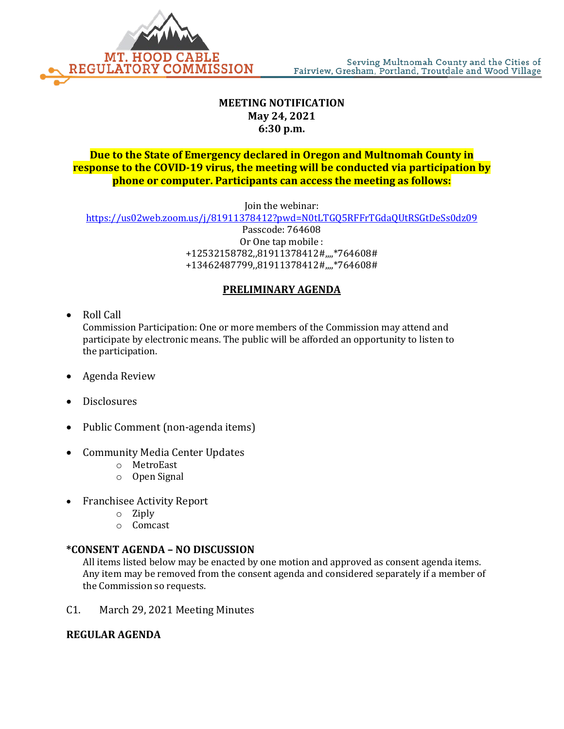

# **MEETING NOTIFICATION May 24, 2021 6:30 p.m.**

### **Due to the State of Emergency declared in Oregon and Multnomah County in response to the COVID-19 virus, the meeting will be conducted via participation by phone or computer. Participants can access the meeting as follows:**

Join the webinar:

<https://us02web.zoom.us/j/81911378412?pwd=N0tLTGQ5RFFrTGdaQUtRSGtDeSs0dz09>

Passcode: 764608 Or One tap mobile : +12532158782,,81911378412#,,,,\*764608# +13462487799,,81911378412#,,,,\*764608#

# **PRELIMINARY AGENDA**

• Roll Call

Commission Participation: One or more members of the Commission may attend and participate by electronic means. The public will be afforded an opportunity to listen to the participation.

- Agenda Review
- Disclosures
- Public Comment (non-agenda items)
- Community Media Center Updates
	- o MetroEast
	- o Open Signal
- Franchisee Activity Report
	- o Ziply
	- o Comcast

#### **\*CONSENT AGENDA – NO DISCUSSION**

All items listed below may be enacted by one motion and approved as consent agenda items. Any item may be removed from the consent agenda and considered separately if a member of the Commission so requests.

C1. March 29, 2021 Meeting Minutes

### **REGULAR AGENDA**